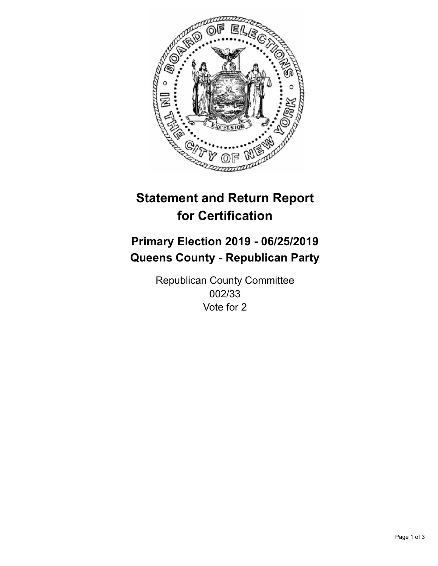

## **Statement and Return Report for Certification**

## **Primary Election 2019 - 06/25/2019 Queens County - Republican Party**

Republican County Committee 002/33 Vote for 2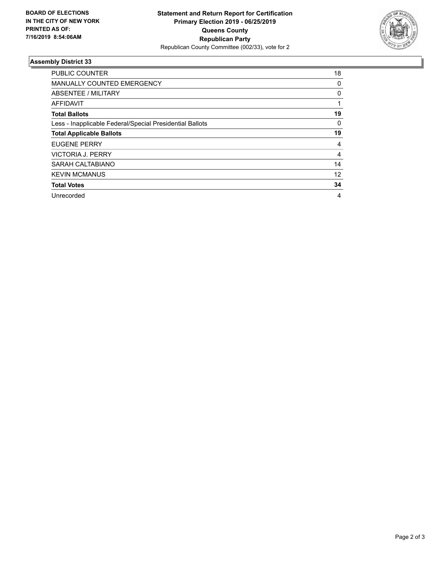

## **Assembly District 33**

| <b>PUBLIC COUNTER</b>                                    | 18 |
|----------------------------------------------------------|----|
| MANUALLY COUNTED EMERGENCY                               | 0  |
| ABSENTEE / MILITARY                                      | 0  |
| AFFIDAVIT                                                |    |
| <b>Total Ballots</b>                                     | 19 |
| Less - Inapplicable Federal/Special Presidential Ballots | 0  |
| <b>Total Applicable Ballots</b>                          | 19 |
| <b>EUGENE PERRY</b>                                      | 4  |
| <b>VICTORIA J. PERRY</b>                                 | 4  |
| SARAH CALTABIANO                                         | 14 |
| <b>KEVIN MCMANUS</b>                                     | 12 |
| <b>Total Votes</b>                                       | 34 |
| Unrecorded                                               | 4  |